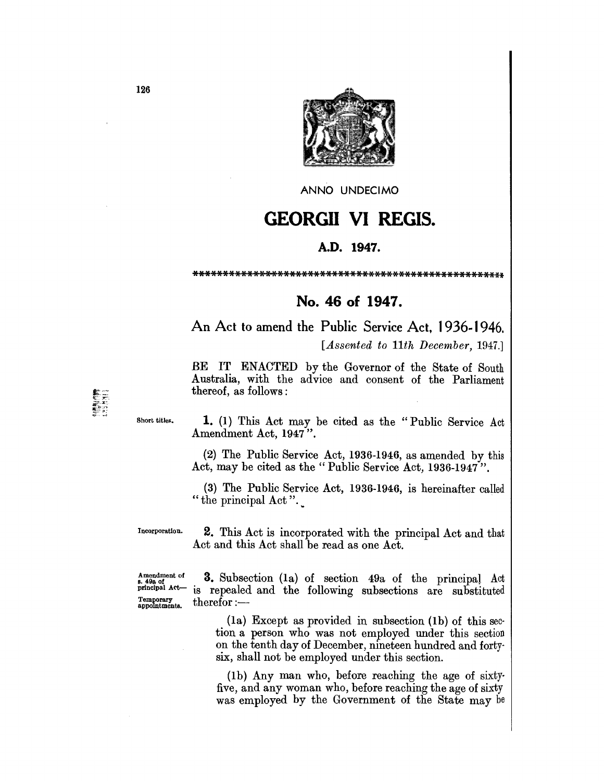

ANNO UNDECIMO

## **GEORGII VI REGIS.**

## A.D. 1947.

## 

## No. 46 of 1947.

An Act to amend the Public Service Act, 1936-1946. [Assented to 11th December, 1947.]

BE IT ENACTED by the Governor of the State of South Australia, with the advice and consent of the Parliament thereof, as follows:

Short titles.

1. (1) This Act may be cited as the "Public Service Act Amendment Act, 1947".

(2) The Public Service Act, 1936-1946, as amended by this Act, may be cited as the "Public Service Act, 1936-1947".

(3) The Public Service Act, 1936-1946, is hereinafter called "the principal Act".

Incorporation.

**2.** This Act is incorporated with the principal Act and that Act and this Act shall be read as one Act.

Amendment of<br>
s. 49a of<br>
principal Act-Temporary<br>appointments.

3. Subsection (1a) of section 49a of the principal Act is repealed and the following subsections are substituted  $therefor:$ 

> $(a)$  Except as provided in subsection  $(b)$  of this section a person who was not employed under this section on the tenth day of December, nineteen hundred and fortysix, shall not be employed under this section.

> (1b) Any man who, before reaching the age of sixtyfive, and any woman who, before reaching the age of sixty was employed by the Government of the State may be